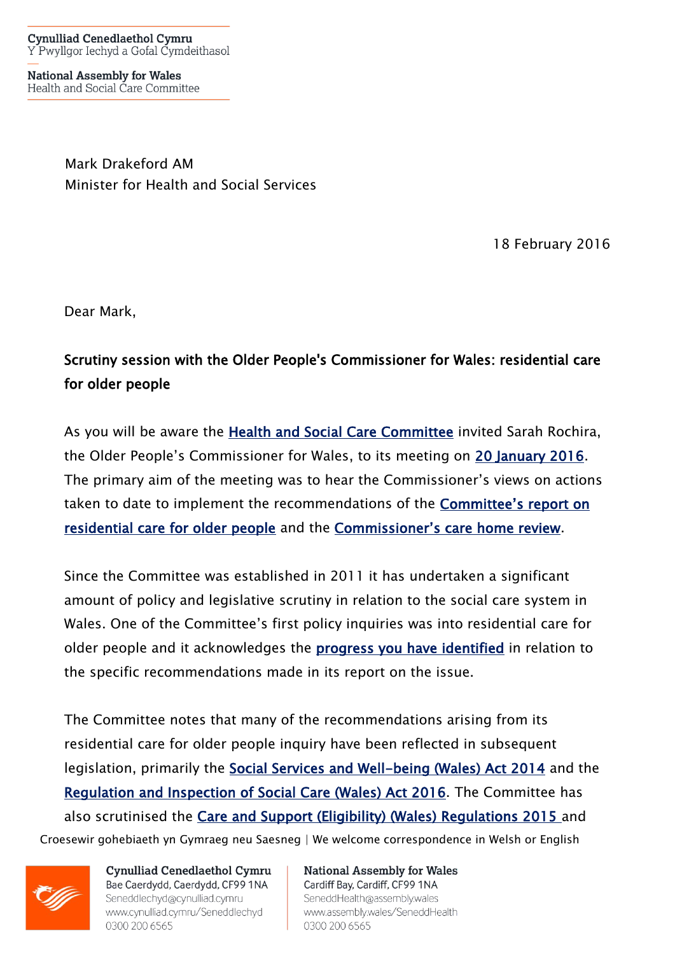**National Assembly for Wales** Health and Social Care Committee

> Mark Drakeford AM Minister for Health and Social Services

> > 18 February 2016

Dear Mark,

## Scrutiny session with the Older People's Commissioner for Wales: residential care for older people

As you will be aware the [Health and Social Care Committee](http://www.senedd.assembly.wales/mgCommitteeDetails.aspx?ID=227) invited Sarah Rochira, the Older People's Commissioner for Wales, to its meeting on [20 January 2016.](http://www.senedd.assembly.wales/ieListDocuments.aspx?CId=227&MID=3355) The primary aim of the meeting was to hear the Commissioner's views on actions taken to date to implement the recommendations of the [Committee's report on](http://www.senedd.assembly.wales/mgIssueHistoryHome.aspx?IId=2222)  [residential care for older people](http://www.senedd.assembly.wales/mgIssueHistoryHome.aspx?IId=2222) and the [Commissioner's care home review](http://www.olderpeoplewales.com/en/Reviews/Residential_Care_Review.aspx).

Since the Committee was established in 2011 it has undertaken a significant amount of policy and legislative scrutiny in relation to the social care system in Wales. One of the Committee's first policy inquiries was into residential care for older people and it acknowledges the **[progress you have identified](http://www.senedd.assembly.wales/documents/s47884/Paper%202%20Annex%20A%20-%20Update%20on%20the%20Committees%20recommendations%20from%20its%20inquiry%20into%20residential%20care%20.pdf)** in relation to the specific recommendations made in its report on the issue.

Croesewir gohebiaeth yn Gymraeg neu Saesneg | We welcome correspondence in Welsh or English The Committee notes that many of the recommendations arising from its residential care for older people inquiry have been reflected in subsequent legislation, primarily the [Social Services and Well-being \(Wales\) Act 2014](http://www.senedd.assembly.wales/mgIssueHistoryHome.aspx?IId=5664) and the [Regulation and Inspection of Social Care \(Wales\) Act 2016.](http://www.senedd.assembly.wales/mgIssueHistoryHome.aspx?IId=12110) The Committee has also scrutinised the [Care and Support \(Eligibility\) \(Wales\) Regulations 2015](http://www.senedd.assembly.wales/mgConsultationDisplay.aspx?ID=177) and



Cynulliad Cenedlaethol Cymru Bae Caerdydd, Caerdydd, CF99 1NA Seneddlechyd@cynulliad.cymru www.cynulliad.cymru/Seneddlechyd 0300 200 6565

**National Assembly for Wales** Cardiff Bay, Cardiff, CF99 1NA SeneddHealth@assembly.wales www.assembly.wales/SeneddHealth 0300 200 6565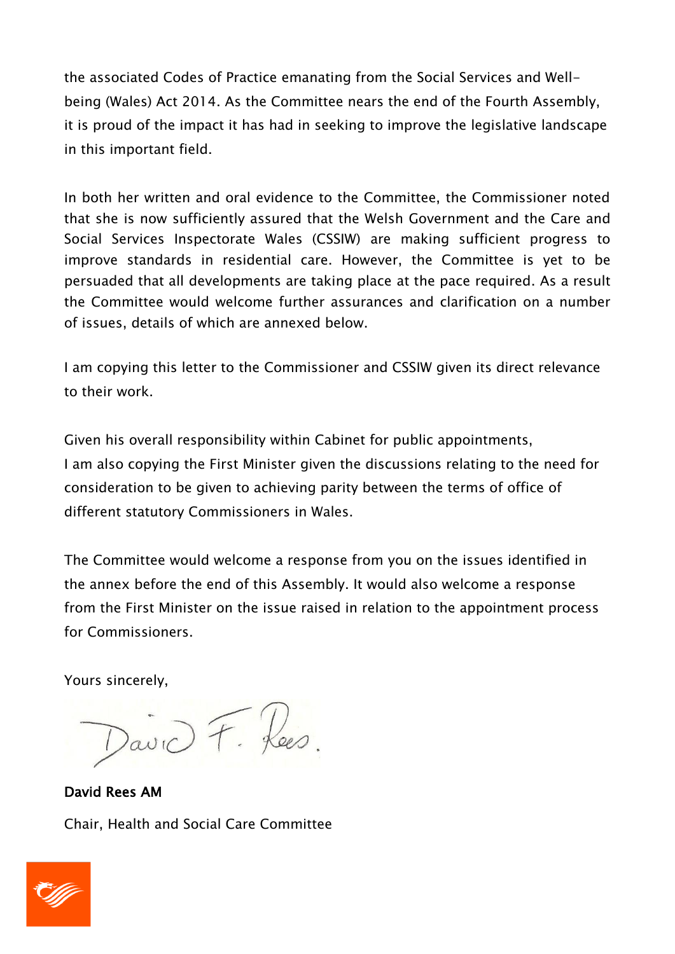the associated Codes of Practice emanating from the Social Services and Wellbeing (Wales) Act 2014. As the Committee nears the end of the Fourth Assembly, it is proud of the impact it has had in seeking to improve the legislative landscape in this important field.

In both her written and oral evidence to the Committee, the Commissioner noted that she is now sufficiently assured that the Welsh Government and the Care and Social Services Inspectorate Wales (CSSIW) are making sufficient progress to improve standards in residential care. However, the Committee is yet to be persuaded that all developments are taking place at the pace required. As a result the Committee would welcome further assurances and clarification on a number of issues, details of which are annexed below.

I am copying this letter to the Commissioner and CSSIW given its direct relevance to their work.

Given his overall responsibility within Cabinet for public appointments, I am also copying the First Minister given the discussions relating to the need for consideration to be given to achieving parity between the terms of office of different statutory Commissioners in Wales.

The Committee would welcome a response from you on the issues identified in the annex before the end of this Assembly. It would also welcome a response from the First Minister on the issue raised in relation to the appointment process for Commissioners.

Yours sincerely,

David Rees AM Chair, Health and Social Care Committee

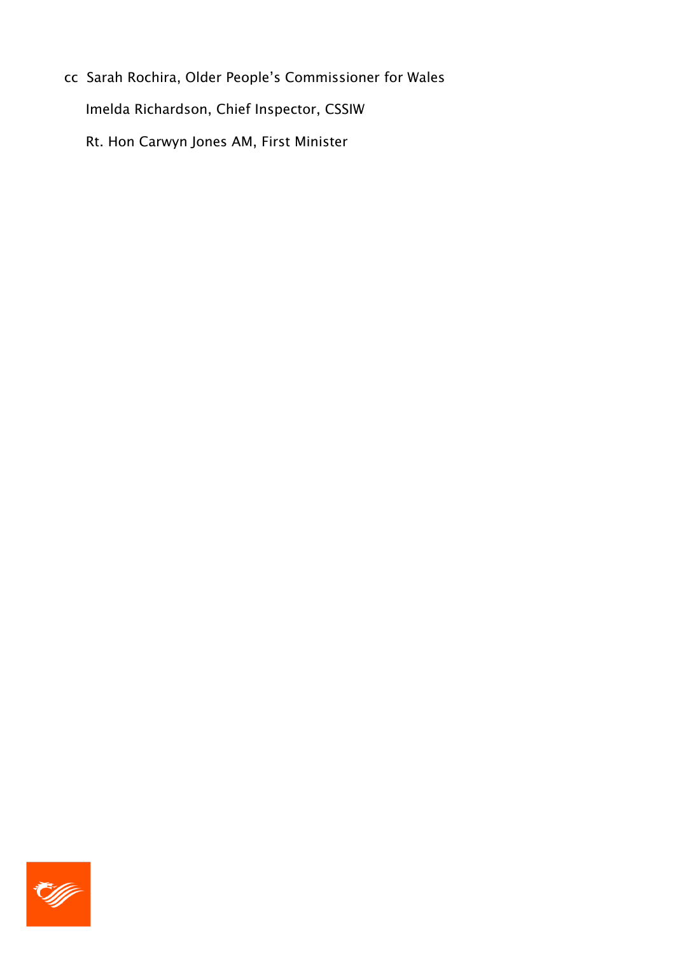cc Sarah Rochira, Older People's Commissioner for Wales Imelda Richardson, Chief Inspector, CSSIW Rt. Hon Carwyn Jones AM, First Minister

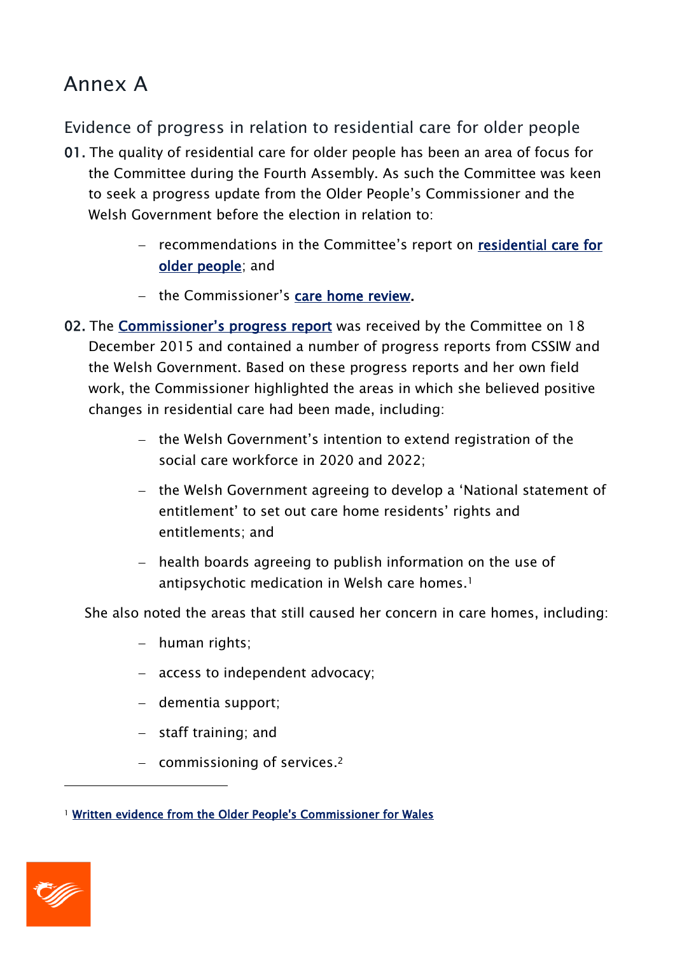# Annex A

Evidence of progress in relation to residential care for older people

- 01. The quality of residential care for older people has been an area of focus for the Committee during the Fourth Assembly. As such the Committee was keen to seek a progress update from the Older People's Commissioner and the Welsh Government before the election in relation to:
	- recommendations in the Committee's report on residential care for [older people;](http://www.senedd.assembly.wales/mgIssueHistoryHome.aspx?IId=2222) and
	- the Commissioner's [care home review.](http://www.olderpeoplewales.com/en/Reviews/Residential_Care_Review.aspx)
- 02. The Commissioner's [progress report](http://www.senedd.assembly.wales/documents/s47882/Paper%201%20Annex%20B%20-%20Written%20evidence%20from%20the%20Older%20Peoples%20Commissioner%20for%20Wales.pdf) was received by the Committee on 18 December 2015 and contained a number of progress reports from CSSIW and the Welsh Government. Based on these progress reports and her own field work, the Commissioner highlighted the areas in which she believed positive changes in residential care had been made, including:
	- the Welsh Government's intention to extend registration of the social care workforce in 2020 and 2022;
	- the Welsh Government agreeing to develop a 'National statement of entitlement' to set out care home residents' rights and entitlements; and
	- $-$  health boards agreeing to publish information on the use of antipsychotic medication in Welsh care homes. 1

She also noted the areas that still caused her concern in care homes, including:

- human rights;
- access to independent advocacy;
- dementia support;
- $-$  staff training; and
- commissioning of services.<sup>2</sup>

<sup>1</sup> [Written evidence from the Older People's Commissioner for Wales](http://www.senedd.assembly.wales/documents/s47882/Paper%201%20Annex%20B%20-%20Written%20evidence%20from%20the%20Older%20Peoples%20Commissioner%20for%20Wales.pdf)



-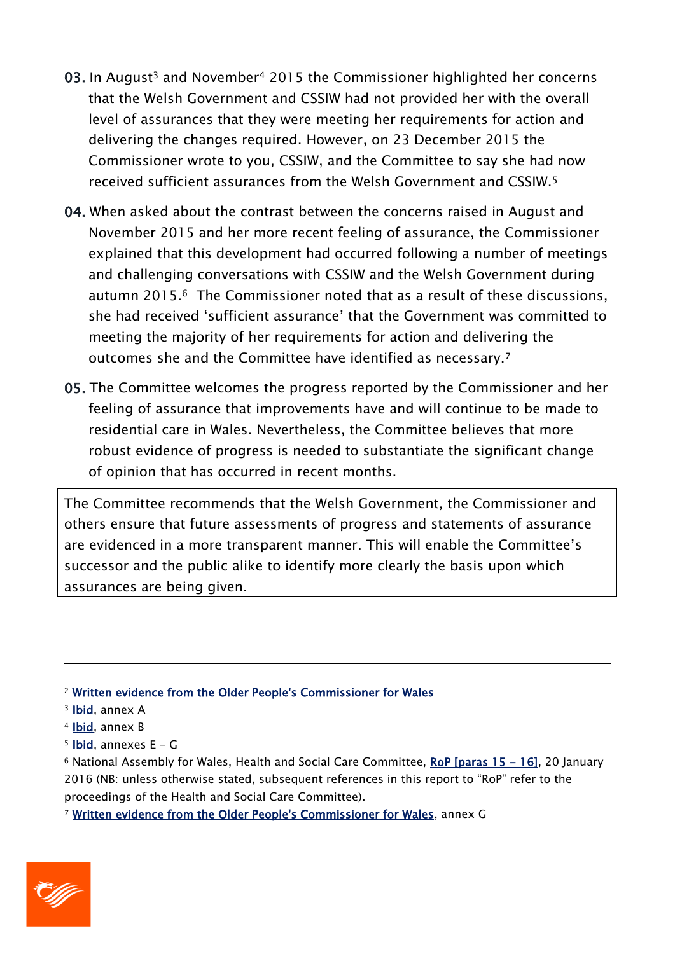- 03. In August<sup>3</sup> and November<sup>4</sup> 2015 the Commissioner highlighted her concerns that the Welsh Government and CSSIW had not provided her with the overall level of assurances that they were meeting her requirements for action and delivering the changes required. However, on 23 December 2015 the Commissioner wrote to you, CSSIW, and the Committee to say she had now received sufficient assurances from the Welsh Government and CSSIW.<sup>5</sup>
- 04. When asked about the contrast between the concerns raised in August and November 2015 and her more recent feeling of assurance, the Commissioner explained that this development had occurred following a number of meetings and challenging conversations with CSSIW and the Welsh Government during autumn 2015. <sup>6</sup> The Commissioner noted that as a result of these discussions, she had received 'sufficient assurance' that the Government was committed to meeting the majority of her requirements for action and delivering the outcomes she and the Committee have identified as necessary.<sup>7</sup>
- 05. The Committee welcomes the progress reported by the Commissioner and her feeling of assurance that improvements have and will continue to be made to residential care in Wales. Nevertheless, the Committee believes that more robust evidence of progress is needed to substantiate the significant change of opinion that has occurred in recent months.

The Committee recommends that the Welsh Government, the Commissioner and others ensure that future assessments of progress and statements of assurance are evidenced in a more transparent manner. This will enable the Committee's successor and the public alike to identify more clearly the basis upon which assurances are being given.

- <sup>2</sup> [Written evidence from the Older People's Commissioner for Wales](http://www.senedd.assembly.wales/documents/s47882/Paper%201%20Annex%20B%20-%20Written%20evidence%20from%20the%20Older%20Peoples%20Commissioner%20for%20Wales.pdf)
- <sup>3</sup> [Ibid,](http://www.senedd.assembly.wales/documents/s47882/Paper%201%20Annex%20B%20-%20Written%20evidence%20from%20the%20Older%20Peoples%20Commissioner%20for%20Wales.pdf) annex A

 $\overline{a}$ 

- <sup>4</sup> [Ibid,](http://www.senedd.assembly.wales/documents/s47882/Paper%201%20Annex%20B%20-%20Written%20evidence%20from%20the%20Older%20Peoples%20Commissioner%20for%20Wales.pdf) annex B
- $5$  [Ibid,](http://www.senedd.assembly.wales/documents/s47882/Paper%201%20Annex%20B%20-%20Written%20evidence%20from%20the%20Older%20Peoples%20Commissioner%20for%20Wales.pdf) annexes E G

<sup>6</sup> National Assembly for Wales, Health and Social Care Committee, [RoP \[paras 15 - 16\],](http://www.senedd.assembly.wales/documents/s48198/20%20January%202016.pdf) 20 January 2016 (NB: unless otherwise stated, subsequent references in this report to "RoP" refer to the proceedings of the Health and Social Care Committee).

<sup>7</sup> [Written evidence from the Older People's Commissioner for Wales,](http://www.senedd.assembly.wales/documents/s47882/Paper%201%20Annex%20B%20-%20Written%20evidence%20from%20the%20Older%20Peoples%20Commissioner%20for%20Wales.pdf) annex G

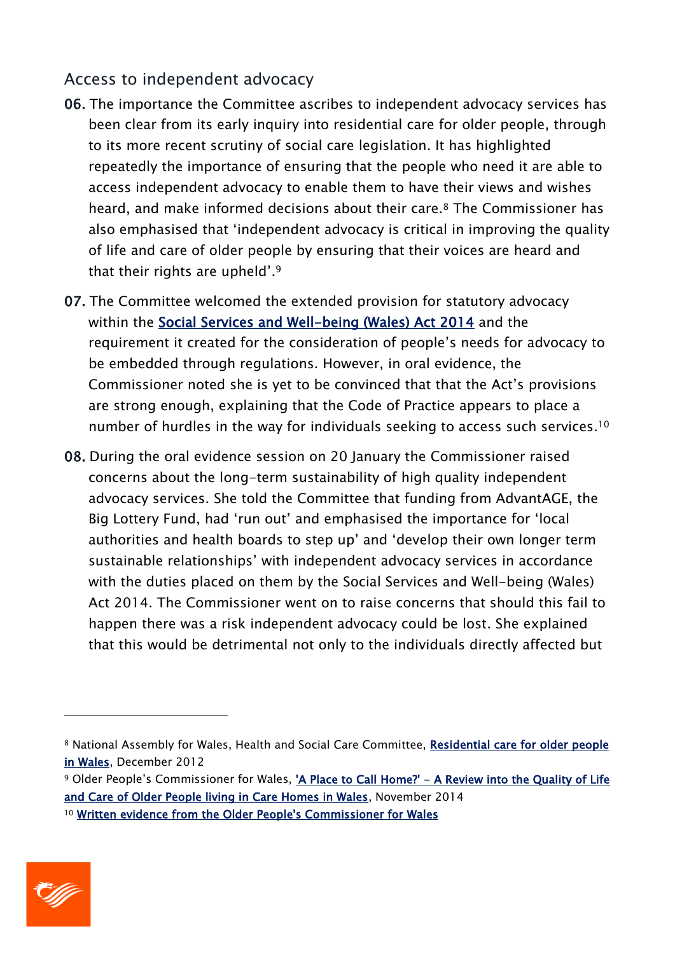#### Access to independent advocacy

- 06. The importance the Committee ascribes to independent advocacy services has been clear from its early inquiry into residential care for older people, through to its more recent scrutiny of social care legislation. It has highlighted repeatedly the importance of ensuring that the people who need it are able to access independent advocacy to enable them to have their views and wishes heard, and make informed decisions about their care.<sup>8</sup> The Commissioner has also emphasised that 'independent advocacy is critical in improving the quality of life and care of older people by ensuring that their voices are heard and that their rights are upheld'. 9
- 07. The Committee welcomed the extended provision for statutory advocacy within the [Social Services and Well-being \(Wales\) Act 2014](http://www.senedd.assembly.wales/mgIssueHistoryHome.aspx?IId=5664) and the requirement it created for the consideration of people's needs for advocacy to be embedded through regulations. However, in oral evidence, the Commissioner noted she is yet to be convinced that that the Act's provisions are strong enough, explaining that the Code of Practice appears to place a number of hurdles in the way for individuals seeking to access such services.<sup>10</sup>
- 08. During the oral evidence session on 20 January the Commissioner raised concerns about the long-term sustainability of high quality independent advocacy services. She told the Committee that funding from AdvantAGE, the Big Lottery Fund, had 'run out' and emphasised the importance for 'local authorities and health boards to step up' and 'develop their own longer term sustainable relationships' with independent advocacy services in accordance with the duties placed on them by the Social Services and Well-being (Wales) Act 2014. The Commissioner went on to raise concerns that should this fail to happen there was a risk independent advocacy could be lost. She explained that this would be detrimental not only to the individuals directly affected but



<sup>8</sup> National Assembly for Wales, Health and Social Care Committee, Residential care for older people [in Wales,](http://www.assemblywales.org/bus-home/bus-business-fourth-assembly-laid-docs/cr-ld9138-e.pdf?langoption=3&ttl=CR-LD9138%20-%20Health%20and%20Social%20Care%20Committee%20Report%3A%20Residential%20care%20for%20older%20people%20in%20Wales&$LO$=1) December 2012

<sup>9</sup> Older People's Commissioner for Wales, 'A Place to Call Home?' - A Review into the Quality of Life [and Care of Older People living in Care Homes in Wales,](http://www.olderpeoplewales.com/Libraries/Uploads/A_Place_to_Call_Home_-_A_Review_into_the_Quality_of_Life_and_Care_of_Older_People_living_in_Care_Homes_in_Wales.sflb.ashx) November 2014 <sup>10</sup> [Written evidence from the Older People's Commissioner for Wales](http://www.senedd.assembly.wales/documents/s47882/Paper%201%20Annex%20B%20-%20Written%20evidence%20from%20the%20Older%20Peoples%20Commissioner%20for%20Wales.pdf)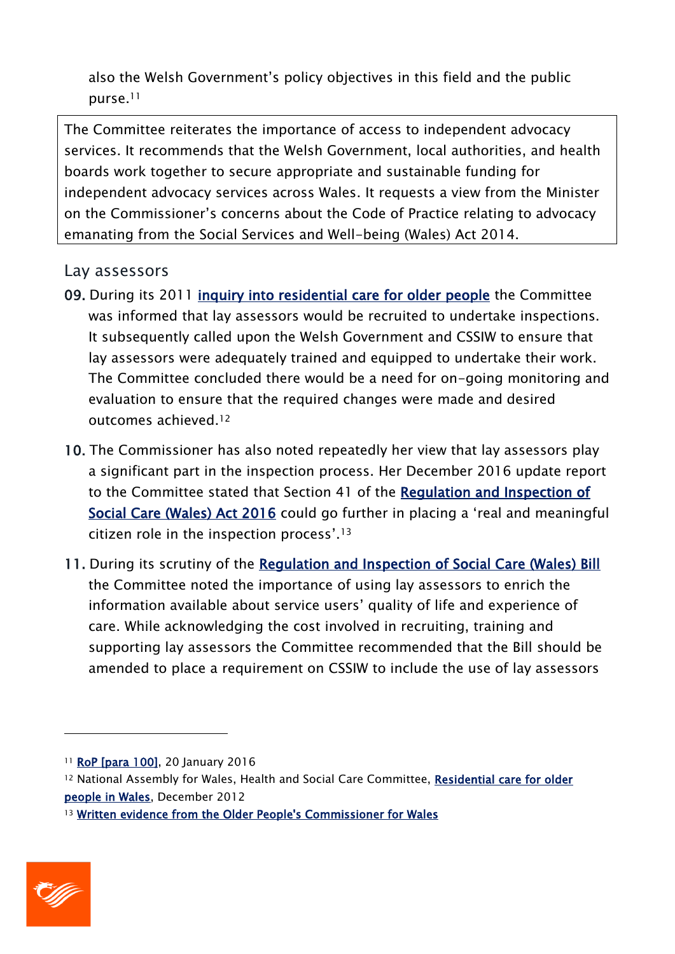also the Welsh Government's policy objectives in this field and the public purse.<sup>11</sup>

The Committee reiterates the importance of access to independent advocacy services. It recommends that the Welsh Government, local authorities, and health boards work together to secure appropriate and sustainable funding for independent advocacy services across Wales. It requests a view from the Minister on the Commissioner's concerns about the Code of Practice relating to advocacy emanating from the Social Services and Well-being (Wales) Act 2014.

#### Lay assessors

- 09. During its 2011 [inquiry into residential care for older people](http://www.senedd.assembly.wales/mgIssueHistoryHome.aspx?IId=2222) the Committee was informed that lay assessors would be recruited to undertake inspections. It subsequently called upon the Welsh Government and CSSIW to ensure that lay assessors were adequately trained and equipped to undertake their work. The Committee concluded there would be a need for on-going monitoring and evaluation to ensure that the required changes were made and desired outcomes achieved. 12
- 10. The Commissioner has also noted repeatedly her view that lay assessors play a significant part in the inspection process. Her December 2016 update report to the Committee stated that Section 41 of the [Regulation and Inspection of](http://www.senedd.assembly.wales/documents/s46971/Regulation%20and%20Inspection%20of%20Social%20Care%20Wales%20Bill%20as%20passed%20unchecked.pdf)  [Social Care \(Wales\) Act 2016](http://www.senedd.assembly.wales/documents/s46971/Regulation%20and%20Inspection%20of%20Social%20Care%20Wales%20Bill%20as%20passed%20unchecked.pdf) could go further in placing a 'real and meaningful citizen role in the inspection process'. 13
- 11. During its scrutiny of the [Regulation and Inspection of Social Care \(Wales\) Bill](http://senedd.assembly.wales/mgIssueHistoryHome.aspx?IId=12110) the Committee noted the importance of using lay assessors to enrich the information available about service users' quality of life and experience of care. While acknowledging the cost involved in recruiting, training and supporting lay assessors the Committee recommended that the Bill should be amended to place a requirement on CSSIW to include the use of lay assessors

<sup>13</sup> [Written evidence from the Older People's Commissioner for Wales](http://www.senedd.assembly.wales/documents/s47882/Paper%201%20Annex%20B%20-%20Written%20evidence%20from%20the%20Older%20Peoples%20Commissioner%20for%20Wales.pdf)



<sup>&</sup>lt;sup>11</sup> [RoP \[para 100\],](http://www.senedd.assembly.wales/documents/s48198/20%20January%202016.pdf) 20 January 2016

<sup>&</sup>lt;sup>12</sup> National Assembly for Wales, Health and Social Care Committee, Residential care for older [people in Wales,](http://www.assemblywales.org/bus-home/bus-business-fourth-assembly-laid-docs/cr-ld9138-e.pdf?langoption=3&ttl=CR-LD9138%20-%20Health%20and%20Social%20Care%20Committee%20Report%3A%20Residential%20care%20for%20older%20people%20in%20Wales&$LO$=1) December 2012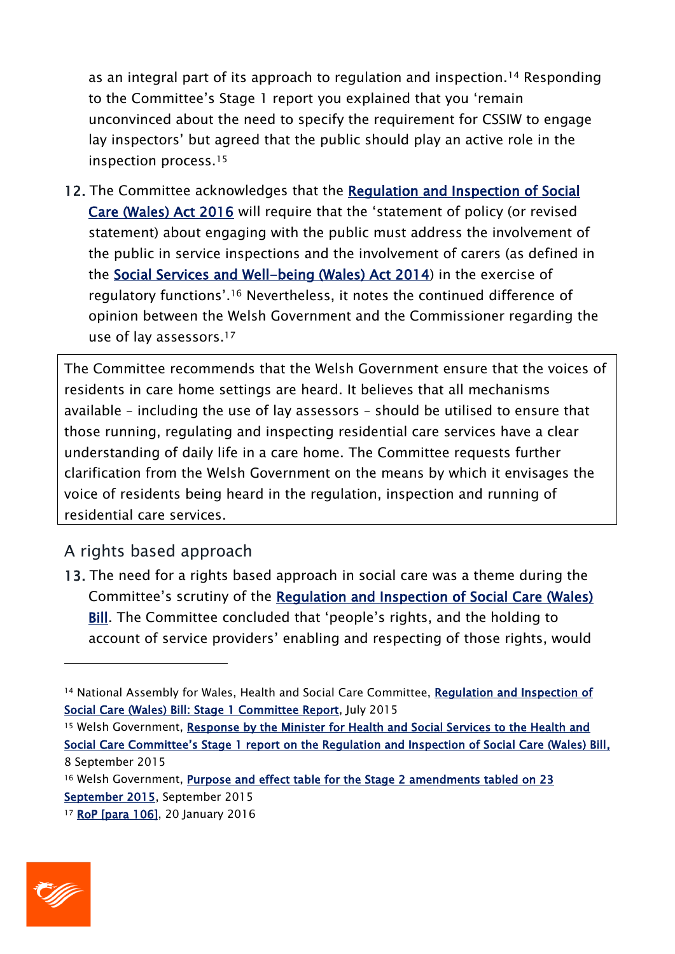as an integral part of its approach to regulation and inspection.<sup>14</sup> Responding to the Committee's Stage 1 report you explained that you 'remain unconvinced about the need to specify the requirement for CSSIW to engage lay inspectors' but agreed that the public should play an active role in the inspection process.<sup>15</sup>

12. The Committee acknowledges that the Regulation and Inspection of Social [Care \(Wales\) Act 2016](http://www.senedd.assembly.wales/documents/s46971/Regulation%20and%20Inspection%20of%20Social%20Care%20Wales%20Bill%20as%20passed%20unchecked.pdf) will require that the 'statement of policy (or revised statement) about engaging with the public must address the involvement of the public in service inspections and the involvement of carers (as defined in the [Social Services and Well-being \(Wales\) Act 2014\)](http://www.senedd.assemblywales.org/documents/s25589/Social%20Services%20and%20Well-being%20Wales%20Bill,%20as%20passed%20unchecked.pdf) in the exercise of regulatory functions'.<sup>16</sup> Nevertheless, it notes the continued difference of opinion between the Welsh Government and the Commissioner regarding the use of lay assessors. 17

The Committee recommends that the Welsh Government ensure that the voices of residents in care home settings are heard. It believes that all mechanisms available – including the use of lay assessors – should be utilised to ensure that those running, regulating and inspecting residential care services have a clear understanding of daily life in a care home. The Committee requests further clarification from the Welsh Government on the means by which it envisages the voice of residents being heard in the regulation, inspection and running of residential care services.

## A rights based approach

13. The need for a rights based approach in social care was a theme during the Committee's scrutiny of the [Regulation and Inspection of Social Care \(Wales\)](http://senedd.assembly.wales/mgIssueHistoryHome.aspx?IId=12110)  **[Bill.](http://senedd.assembly.wales/mgIssueHistoryHome.aspx?IId=12110)** The Committee concluded that 'people's rights, and the holding to account of service providers' enabling and respecting of those rights, would

- <sup>15</sup> Welsh Government, Response by the Minister for Health and Social Services to the Health and [Social Care Committee's Stage 1 report on the Regulation and Inspection of Social Care \(Wales\) Bill](http://www.senedd.assembly.wales/documents/s43516/HSC4-23-15%20ptn%204%20the%20Minister%20for%20Health%20and%20Social%20Services%20response%20to%20the%20Committees%20Stage%201.pdf), 8 September 2015
- <sup>16</sup> Welsh Government, Purpose and effect table for the Stage 2 amendments tabled on 23 [September 2015,](http://www.senedd.assembly.wales/documents/s44206/Welsh%20Government%20-%20Purpose%20and%20Effect%20table%2025%20September%202015.pdf) September 2015

<sup>17</sup> [RoP \[para 106\],](http://www.senedd.assembly.wales/documents/s48198/20%20January%202016.pdf) 20 January 2016



<sup>14</sup> National Assembly for Wales, Health and Social Care Committee, Regulation and Inspection of [Social Care \(Wales\) Bill: Stage 1 Committee Report,](http://www.assembly.wales/laid%20documents/cr-ld10279/cr-ld10279-e.pdf) July 2015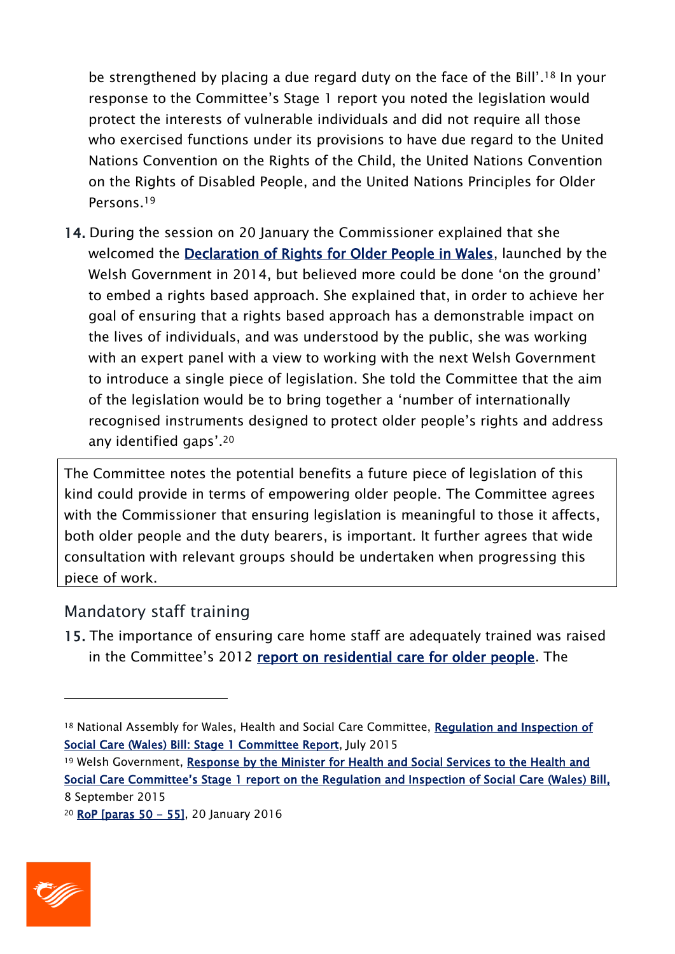be strengthened by placing a due regard duty on the face of the Bill'. <sup>18</sup> In your response to the Committee's Stage 1 report you noted the legislation would protect the interests of vulnerable individuals and did not require all those who exercised functions under its provisions to have due regard to the United Nations Convention on the Rights of the Child, the United Nations Convention on the Rights of Disabled People, and the United Nations Principles for Older Persons.<sup>19</sup>

14. During the session on 20 January the Commissioner explained that she welcomed the [Declaration of Rights for Older People in Wales,](http://gov.wales/topics/health/publications/health/strategies/rights/?lang=en) launched by the Welsh Government in 2014, but believed more could be done 'on the ground' to embed a rights based approach. She explained that, in order to achieve her goal of ensuring that a rights based approach has a demonstrable impact on the lives of individuals, and was understood by the public, she was working with an expert panel with a view to working with the next Welsh Government to introduce a single piece of legislation. She told the Committee that the aim of the legislation would be to bring together a 'number of internationally recognised instruments designed to protect older people's rights and address any identified gaps'. 20

The Committee notes the potential benefits a future piece of legislation of this kind could provide in terms of empowering older people. The Committee agrees with the Commissioner that ensuring legislation is meaningful to those it affects, both older people and the duty bearers, is important. It further agrees that wide consultation with relevant groups should be undertaken when progressing this piece of work.

#### Mandatory staff training

15. The importance of ensuring care home staff are adequately trained was raised in the Committee's 2012 [report on residential care for older people.](http://www.assemblywales.org/bus-home/bus-business-fourth-assembly-laid-docs/cr-ld9138-e.pdf?langoption=3&ttl=CR-LD9138%20-%20Health%20and%20Social%20Care%20Committee%20Report%3A%20Residential%20care%20for%20older%20people%20in%20Wales) The

<sup>20</sup> [RoP \[paras 50 - 55\],](http://www.senedd.assembly.wales/documents/s48198/20%20January%202016.pdf) 20 January 2016



<sup>&</sup>lt;sup>18</sup> National Assembly for Wales, Health and Social Care Committee, Regulation and Inspection of [Social Care \(Wales\) Bill: Stage 1 Committee Report,](http://www.assembly.wales/laid%20documents/cr-ld10279/cr-ld10279-e.pdf) July 2015

<sup>19</sup> Welsh Government, Response by the Minister for Health and Social Services to the Health and Social Care Committee's Stage 1 report on the [Regulation and Inspection of Social Care \(Wales\) Bill,](http://www.senedd.assembly.wales/documents/s43516/HSC4-23-15%20ptn%204%20the%20Minister%20for%20Health%20and%20Social%20Services%20response%20to%20the%20Committees%20Stage%201.pdf) 8 September 2015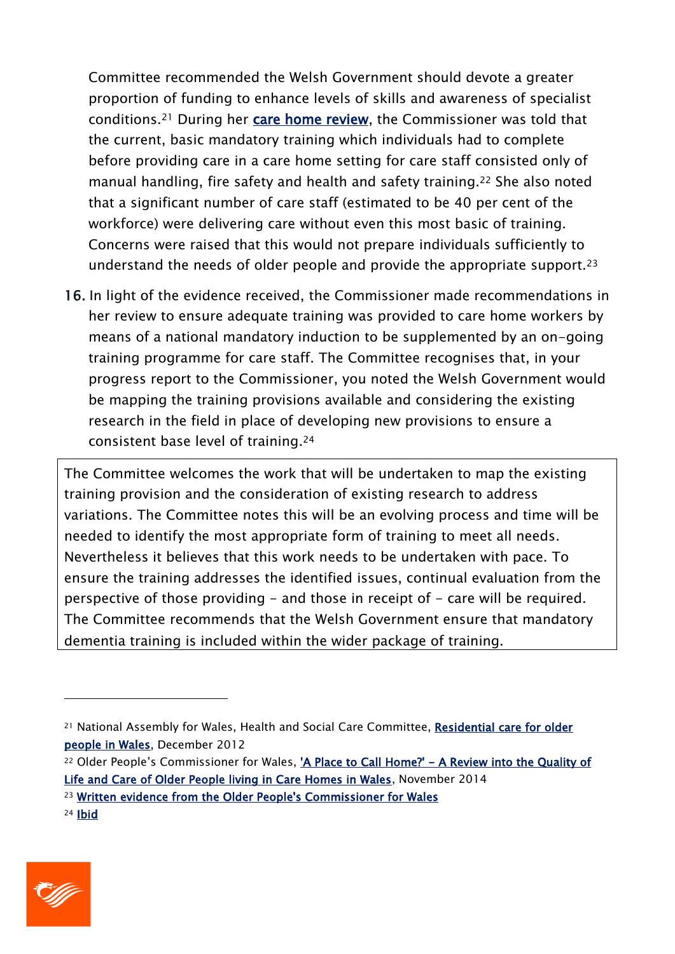Committee recommended the Welsh Government should devote a greater proportion of funding to enhance levels of skills and awareness of specialist conditions.<sup>21</sup> During her [care home review,](http://www.olderpeoplewales.com/en/reviews/residential_care_review.aspx) the Commissioner was told that the current, basic mandatory training which individuals had to complete before providing care in a care home setting for care staff consisted only of manual handling, fire safety and health and safety training.<sup>22</sup> She also noted that a significant number of care staff (estimated to be 40 per cent of the workforce) were delivering care without even this most basic of training. Concerns were raised that this would not prepare individuals sufficiently to understand the needs of older people and provide the appropriate support.<sup>23</sup>

16. In light of the evidence received, the Commissioner made recommendations in her review to ensure adequate training was provided to care home workers by means of a national mandatory induction to be supplemented by an on-going training programme for care staff. The Committee recognises that, in your progress report to the Commissioner, you noted the Welsh Government would be mapping the training provisions available and considering the existing research in the field in place of developing new provisions to ensure a consistent base level of training. 24

The Committee welcomes the work that will be undertaken to map the existing training provision and the consideration of existing research to address variations. The Committee notes this will be an evolving process and time will be needed to identify the most appropriate form of training to meet all needs. Nevertheless it believes that this work needs to be undertaken with pace. To ensure the training addresses the identified issues, continual evaluation from the perspective of those providing - and those in receipt of - care will be required. The Committee recommends that the Welsh Government ensure that mandatory dementia training is included within the wider package of training.



<sup>&</sup>lt;sup>21</sup> National Assembly for Wales, Health and Social Care Committee, Residential care for older [people in Wales,](http://www.assemblywales.org/bus-home/bus-business-fourth-assembly-laid-docs/cr-ld9138-e.pdf?langoption=3&ttl=CR-LD9138%20-%20Health%20and%20Social%20Care%20Committee%20Report%3A%20Residential%20care%20for%20older%20people%20in%20Wales&$LO$=1) December 2012

<sup>&</sup>lt;sup>22</sup> Older People's Commissioner for Wales, 'A Place to Call Home?' - A Review into the Quality of [Life and Care of Older People living in Care Homes in Wales,](http://www.olderpeoplewales.com/Libraries/Uploads/A_Place_to_Call_Home_-_A_Review_into_the_Quality_of_Life_and_Care_of_Older_People_living_in_Care_Homes_in_Wales.sflb.ashx) November 2014

<sup>23</sup> [Written evidence from the Older People's Commissioner for Wales](http://www.senedd.assembly.wales/documents/s47882/Paper%201%20Annex%20B%20-%20Written%20evidence%20from%20the%20Older%20Peoples%20Commissioner%20for%20Wales.pdf)

<sup>24</sup> [Ibid](http://www.senedd.assembly.wales/documents/s47882/Paper%201%20Annex%20B%20-%20Written%20evidence%20from%20the%20Older%20Peoples%20Commissioner%20for%20Wales.pdf)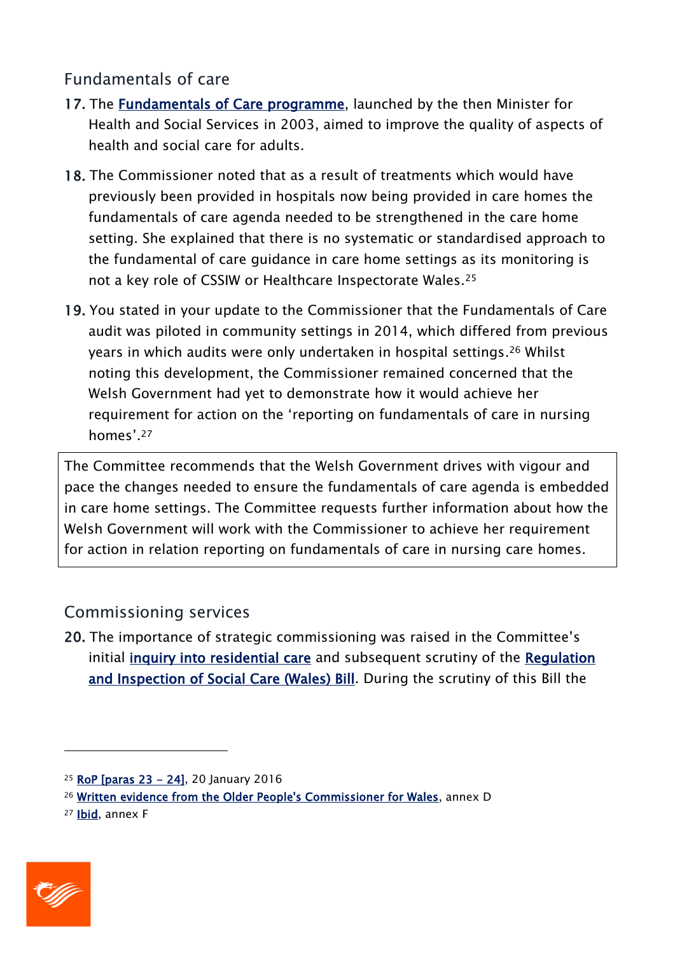## Fundamentals of care

- 17. The **Fundamentals of Care programme**, launched by the then Minister for Health and Social Services in 2003, aimed to improve the quality of aspects of health and social care for adults.
- 18. The Commissioner noted that as a result of treatments which would have previously been provided in hospitals now being provided in care homes the fundamentals of care agenda needed to be strengthened in the care home setting. She explained that there is no systematic or standardised approach to the fundamental of care guidance in care home settings as its monitoring is not a key role of CSSIW or Healthcare Inspectorate Wales.<sup>25</sup>
- 19. You stated in your update to the Commissioner that the Fundamentals of Care audit was piloted in community settings in 2014, which differed from previous years in which audits were only undertaken in hospital settings. <sup>26</sup> Whilst noting this development, the Commissioner remained concerned that the Welsh Government had yet to demonstrate how it would achieve her requirement for action on the 'reporting on fundamentals of care in nursing homes'.<sup>27</sup>

The Committee recommends that the Welsh Government drives with vigour and pace the changes needed to ensure the fundamentals of care agenda is embedded in care home settings. The Committee requests further information about how the Welsh Government will work with the Commissioner to achieve her requirement for action in relation reporting on fundamentals of care in nursing care homes.

## Commissioning services

20. The importance of strategic commissioning was raised in the Committee's initial [inquiry into residential care](http://www.senedd.assembly.wales/mgIssueHistoryHome.aspx?IId=2222) and subsequent scrutiny of the [Regulation](http://senedd.assembly.wales/mgIssueHistoryHome.aspx?IId=12110)  [and Inspection of Social Care \(Wales\) Bill.](http://senedd.assembly.wales/mgIssueHistoryHome.aspx?IId=12110) During the scrutiny of this Bill the

<sup>27</sup> [Ibid,](http://www.senedd.assembly.wales/documents/s47882/Paper%201%20Annex%20B%20-%20Written%20evidence%20from%20the%20Older%20Peoples%20Commissioner%20for%20Wales.pdf) annex F



<sup>25</sup> [RoP \[paras 23 - 24\],](http://www.senedd.assembly.wales/documents/s48198/20%20January%202016.pdf) 20 January 2016

<sup>26</sup> [Written evidence from the Older People's Commissioner for Wales,](http://www.senedd.assembly.wales/documents/s47882/Paper%201%20Annex%20B%20-%20Written%20evidence%20from%20the%20Older%20Peoples%20Commissioner%20for%20Wales.pdf) annex D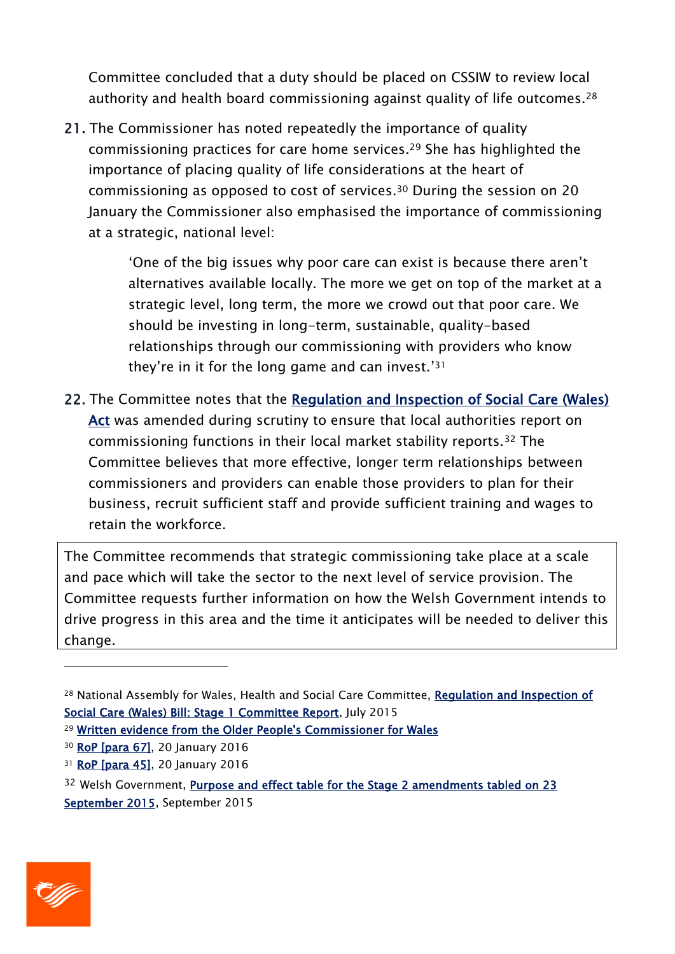Committee concluded that a duty should be placed on CSSIW to review local authority and health board commissioning against quality of life outcomes.<sup>28</sup>

21. The Commissioner has noted repeatedly the importance of quality commissioning practices for care home services. <sup>29</sup> She has highlighted the importance of placing quality of life considerations at the heart of commissioning as opposed to cost of services.<sup>30</sup> During the session on 20 January the Commissioner also emphasised the importance of commissioning at a strategic, national level:

> 'One of the big issues why poor care can exist is because there aren't alternatives available locally. The more we get on top of the market at a strategic level, long term, the more we crowd out that poor care. We should be investing in long-term, sustainable, quality-based relationships through our commissioning with providers who know they're in it for the long game and can invest.' 31

22. The Committee notes that the [Regulation and Inspection of Social Care \(Wales\)](http://www.senedd.assembly.wales/documents/s46971/Regulation%20and%20Inspection%20of%20Social%20Care%20Wales%20Bill%20as%20passed%20unchecked.pdf)  [Act](http://www.senedd.assembly.wales/documents/s46971/Regulation%20and%20Inspection%20of%20Social%20Care%20Wales%20Bill%20as%20passed%20unchecked.pdf) was amended during scrutiny to ensure that local authorities report on commissioning functions in their local market stability reports.<sup>32</sup> The Committee believes that more effective, longer term relationships between commissioners and providers can enable those providers to plan for their business, recruit sufficient staff and provide sufficient training and wages to retain the workforce.

The Committee recommends that strategic commissioning take place at a scale and pace which will take the sector to the next level of service provision. The Committee requests further information on how the Welsh Government intends to drive progress in this area and the time it anticipates will be needed to deliver this change.



<sup>&</sup>lt;sup>28</sup> National Assembly for Wales, Health and Social Care Committee, Regulation and Inspection of [Social Care \(Wales\) Bill: Stage 1 Committee Report,](http://www.assembly.wales/laid%20documents/cr-ld10279/cr-ld10279-e.pdf) July 2015

<sup>29</sup> [Written evidence from the Older People's Commissioner for Wales](http://www.senedd.assembly.wales/documents/s47882/Paper%201%20Annex%20B%20-%20Written%20evidence%20from%20the%20Older%20Peoples%20Commissioner%20for%20Wales.pdf)

<sup>30</sup> [RoP \[para 67\],](http://www.senedd.assembly.wales/documents/s48198/20%20January%202016.pdf) 20 January 2016

<sup>31</sup> **RoP** [para 45], 20 January 2016

<sup>&</sup>lt;sup>32</sup> Welsh Government, **Purpose and effect table for the Stage 2 amendments tabled on 23** [September 2015,](http://www.senedd.assembly.wales/documents/s44206/Welsh%20Government%20-%20Purpose%20and%20Effect%20table%2025%20September%202015.pdf) September 2015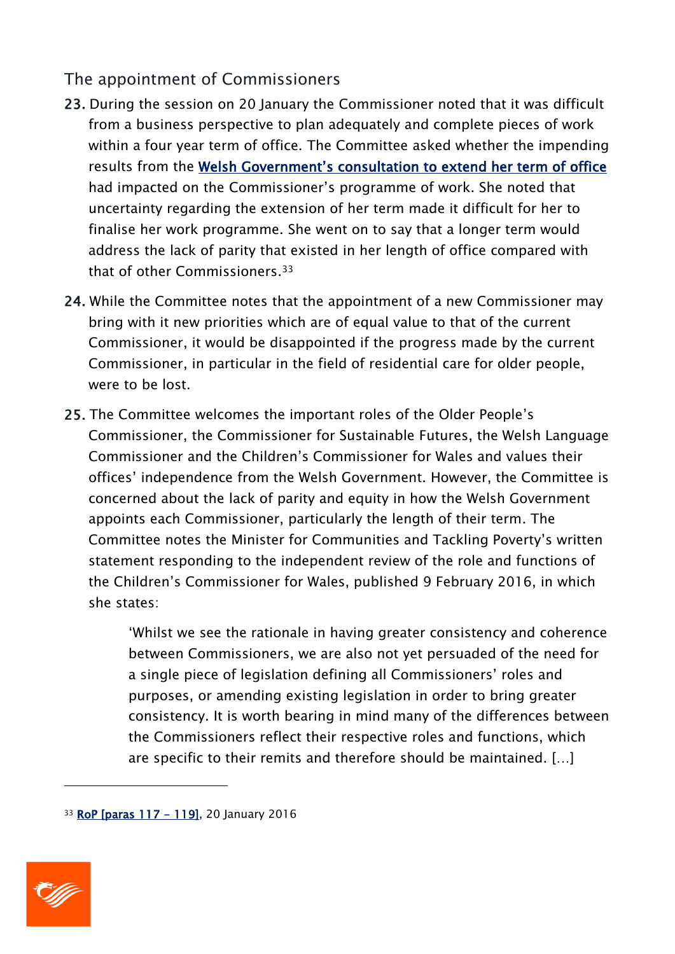### The appointment of Commissioners

- 23. During the session on 20 January the Commissioner noted that it was difficult from a business perspective to plan adequately and complete pieces of work within a four year term of office. The Committee asked whether the impending results from the Welsh Government's [consultation to extend her term of office](http://gov.wales/consultations/healthsocialcare/commissioner/?status=closed&lang=en) had impacted on the Commissioner's programme of work. She noted that uncertainty regarding the extension of her term made it difficult for her to finalise her work programme. She went on to say that a longer term would address the lack of parity that existed in her length of office compared with that of other Commissioners.<sup>33</sup>
- 24. While the Committee notes that the appointment of a new Commissioner may bring with it new priorities which are of equal value to that of the current Commissioner, it would be disappointed if the progress made by the current Commissioner, in particular in the field of residential care for older people, were to be lost.
- 25. The Committee welcomes the important roles of the Older People's Commissioner, the Commissioner for Sustainable Futures, the Welsh Language Commissioner and the Children's Commissioner for Wales and values their offices' independence from the Welsh Government. However, the Committee is concerned about the lack of parity and equity in how the Welsh Government appoints each Commissioner, particularly the length of their term. The Committee notes the Minister for Communities and Tackling Poverty's written statement responding to the independent review of the role and functions of the Children's Commissioner for Wales, published 9 February 2016, in which she states:

'Whilst we see the rationale in having greater consistency and coherence between Commissioners, we are also not yet persuaded of the need for a single piece of legislation defining all Commissioners' roles and purposes, or amending existing legislation in order to bring greater consistency. It is worth bearing in mind many of the differences between the Commissioners reflect their respective roles and functions, which are specific to their remits and therefore should be maintained. […]

<sup>33</sup> [RoP \[paras 117 - 119\],](http://www.senedd.assembly.wales/documents/s48198/20%20January%202016.pdf) 20 January 2016



-